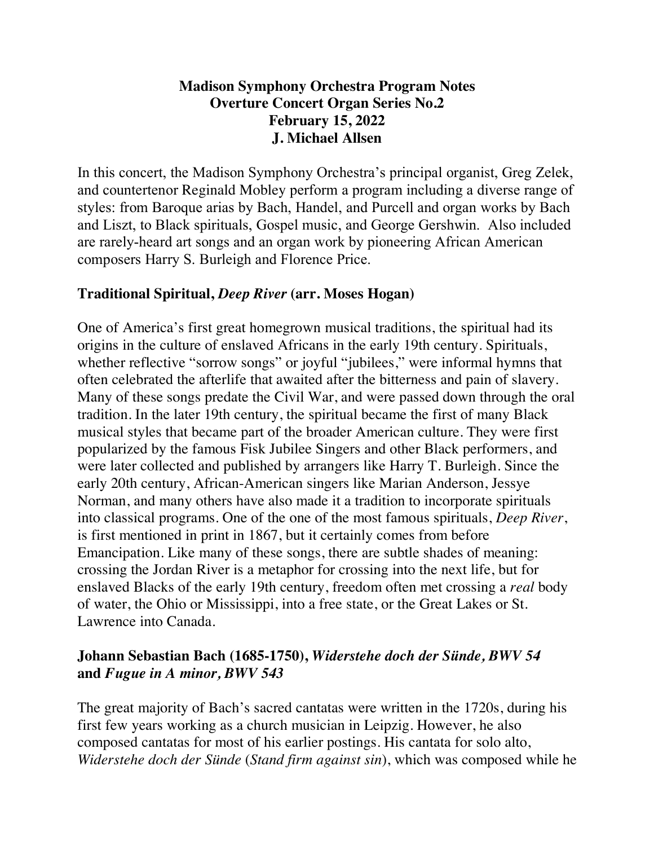# **Madison Symphony Orchestra Program Notes Overture Concert Organ Series No.2 February 15, 2022 J. Michael Allsen**

In this concert, the Madison Symphony Orchestra's principal organist, Greg Zelek, and countertenor Reginald Mobley perform a program including a diverse range of styles: from Baroque arias by Bach, Handel, and Purcell and organ works by Bach and Liszt, to Black spirituals, Gospel music, and George Gershwin. Also included are rarely-heard art songs and an organ work by pioneering African American composers Harry S. Burleigh and Florence Price.

# **Traditional Spiritual,** *Deep River* **(arr. Moses Hogan)**

One of America's first great homegrown musical traditions, the spiritual had its origins in the culture of enslaved Africans in the early 19th century. Spirituals, whether reflective "sorrow songs" or joyful "jubilees," were informal hymns that often celebrated the afterlife that awaited after the bitterness and pain of slavery. Many of these songs predate the Civil War, and were passed down through the oral tradition. In the later 19th century, the spiritual became the first of many Black musical styles that became part of the broader American culture. They were first popularized by the famous Fisk Jubilee Singers and other Black performers, and were later collected and published by arrangers like Harry T. Burleigh. Since the early 20th century, African-American singers like Marian Anderson, Jessye Norman, and many others have also made it a tradition to incorporate spirituals into classical programs. One of the one of the most famous spirituals, *Deep River*, is first mentioned in print in 1867, but it certainly comes from before Emancipation. Like many of these songs, there are subtle shades of meaning: crossing the Jordan River is a metaphor for crossing into the next life, but for enslaved Blacks of the early 19th century, freedom often met crossing a *real* body of water, the Ohio or Mississippi, into a free state, or the Great Lakes or St. Lawrence into Canada.

# **Johann Sebastian Bach (1685-1750),** *Widerstehe doch der Sünde, BWV 54* **and** *Fugue in A minor, BWV 543*

The great majority of Bach's sacred cantatas were written in the 1720s, during his first few years working as a church musician in Leipzig. However, he also composed cantatas for most of his earlier postings. His cantata for solo alto, *Widerstehe doch der Sünde* (*Stand firm against sin*), which was composed while he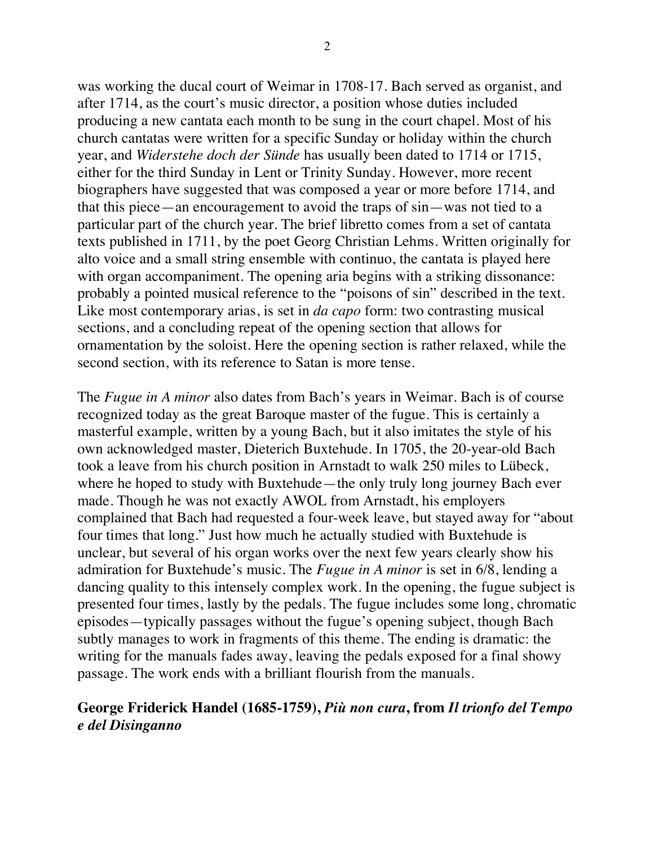was working the ducal court of Weimar in 1708-17. Bach served as organist, and after 1714, as the court's music director, a position whose duties included producing a new cantata each month to be sung in the court chapel. Most of his church cantatas were written for a specific Sunday or holiday within the church year, and *Widerstehe doch der Sünde* has usually been dated to 1714 or 1715, either for the third Sunday in Lent or Trinity Sunday. However, more recent biographers have suggested that was composed a year or more before 1714, and that this piece—an encouragement to avoid the traps of sin—was not tied to a particular part of the church year. The brief libretto comes from a set of cantata texts published in 1711, by the poet Georg Christian Lehms. Written originally for alto voice and a small string ensemble with continuo, the cantata is played here with organ accompaniment. The opening aria begins with a striking dissonance: probably a pointed musical reference to the "poisons of sin" described in the text. Like most contemporary arias, is set in *da capo* form: two contrasting musical sections, and a concluding repeat of the opening section that allows for ornamentation by the soloist. Here the opening section is rather relaxed, while the second section, with its reference to Satan is more tense.

The *Fugue in A minor* also dates from Bach's years in Weimar. Bach is of course recognized today as the great Baroque master of the fugue. This is certainly a masterful example, written by a young Bach, but it also imitates the style of his own acknowledged master, Dieterich Buxtehude. In 1705, the 20-year-old Bach took a leave from his church position in Arnstadt to walk 250 miles to Lübeck, where he hoped to study with Buxtehude—the only truly long journey Bach ever made. Though he was not exactly AWOL from Arnstadt, his employers complained that Bach had requested a four-week leave, but stayed away for "about four times that long." Just how much he actually studied with Buxtehude is unclear, but several of his organ works over the next few years clearly show his admiration for Buxtehude's music. The *Fugue in A minor* is set in 6/8, lending a dancing quality to this intensely complex work. In the opening, the fugue subject is presented four times, lastly by the pedals. The fugue includes some long, chromatic episodes—typically passages without the fugue's opening subject, though Bach subtly manages to work in fragments of this theme. The ending is dramatic: the writing for the manuals fades away, leaving the pedals exposed for a final showy passage. The work ends with a brilliant flourish from the manuals.

### **George Friderick Handel (1685-1759),** *Più non cura***, from** *Il trionfo del Tempo e del Disinganno*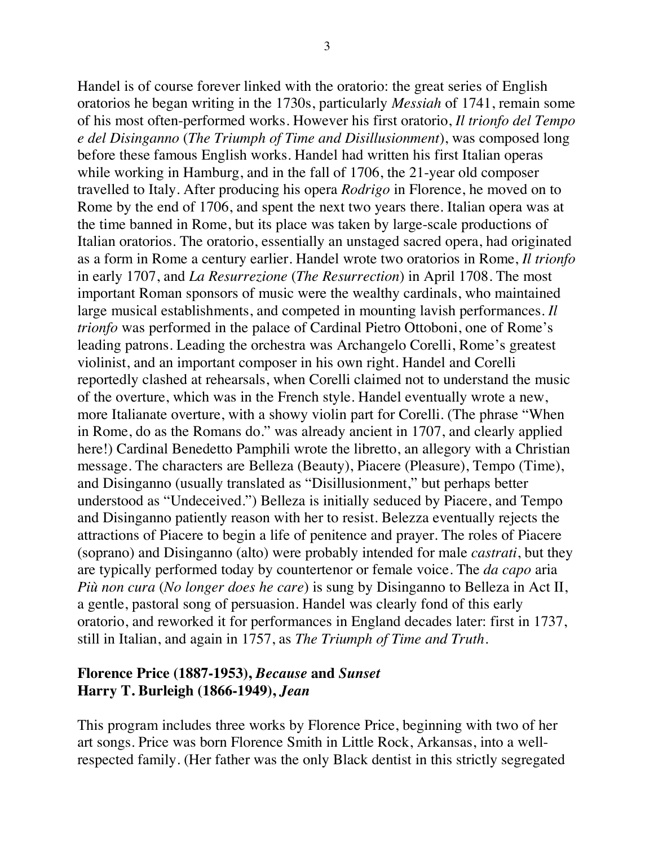Handel is of course forever linked with the oratorio: the great series of English oratorios he began writing in the 1730s, particularly *Messiah* of 1741, remain some of his most often-performed works. However his first oratorio, *Il trionfo del Tempo e del Disinganno* (*The Triumph of Time and Disillusionment*), was composed long before these famous English works. Handel had written his first Italian operas while working in Hamburg, and in the fall of 1706, the 21-year old composer travelled to Italy. After producing his opera *Rodrigo* in Florence, he moved on to Rome by the end of 1706, and spent the next two years there. Italian opera was at the time banned in Rome, but its place was taken by large-scale productions of Italian oratorios. The oratorio, essentially an unstaged sacred opera, had originated as a form in Rome a century earlier. Handel wrote two oratorios in Rome, *Il trionfo*  in early 1707, and *La Resurrezione* (*The Resurrection*) in April 1708. The most important Roman sponsors of music were the wealthy cardinals, who maintained large musical establishments, and competed in mounting lavish performances. *Il trionfo* was performed in the palace of Cardinal Pietro Ottoboni, one of Rome's leading patrons. Leading the orchestra was Archangelo Corelli, Rome's greatest violinist, and an important composer in his own right. Handel and Corelli reportedly clashed at rehearsals, when Corelli claimed not to understand the music of the overture, which was in the French style. Handel eventually wrote a new, more Italianate overture, with a showy violin part for Corelli. (The phrase "When in Rome, do as the Romans do." was already ancient in 1707, and clearly applied here!) Cardinal Benedetto Pamphili wrote the libretto, an allegory with a Christian message. The characters are Belleza (Beauty), Piacere (Pleasure), Tempo (Time), and Disinganno (usually translated as "Disillusionment," but perhaps better understood as "Undeceived.") Belleza is initially seduced by Piacere, and Tempo and Disinganno patiently reason with her to resist. Belezza eventually rejects the attractions of Piacere to begin a life of penitence and prayer. The roles of Piacere (soprano) and Disinganno (alto) were probably intended for male *castrati*, but they are typically performed today by countertenor or female voice. The *da capo* aria *Più non cura* (*No longer does he care*) is sung by Disinganno to Belleza in Act II, a gentle, pastoral song of persuasion. Handel was clearly fond of this early oratorio, and reworked it for performances in England decades later: first in 1737, still in Italian, and again in 1757, as *The Triumph of Time and Truth*.

### **Florence Price (1887-1953),** *Because* **and** *Sunset* **Harry T. Burleigh (1866-1949),** *Jean*

This program includes three works by Florence Price, beginning with two of her art songs. Price was born Florence Smith in Little Rock, Arkansas, into a wellrespected family. (Her father was the only Black dentist in this strictly segregated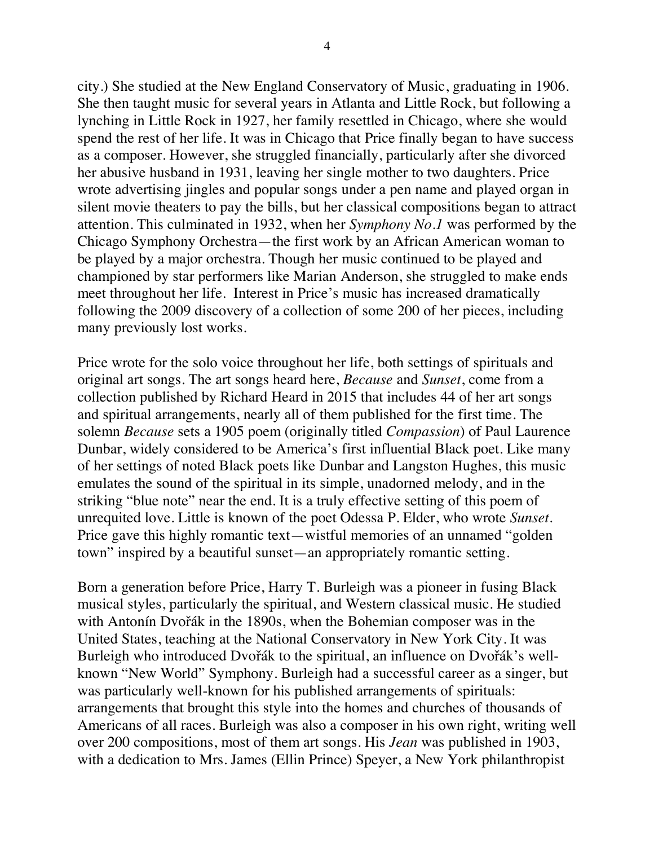city.) She studied at the New England Conservatory of Music, graduating in 1906. She then taught music for several years in Atlanta and Little Rock, but following a lynching in Little Rock in 1927, her family resettled in Chicago, where she would spend the rest of her life. It was in Chicago that Price finally began to have success as a composer. However, she struggled financially, particularly after she divorced her abusive husband in 1931, leaving her single mother to two daughters. Price wrote advertising jingles and popular songs under a pen name and played organ in silent movie theaters to pay the bills, but her classical compositions began to attract attention. This culminated in 1932, when her *Symphony No.1* was performed by the Chicago Symphony Orchestra—the first work by an African American woman to be played by a major orchestra. Though her music continued to be played and championed by star performers like Marian Anderson, she struggled to make ends meet throughout her life. Interest in Price's music has increased dramatically following the 2009 discovery of a collection of some 200 of her pieces, including many previously lost works.

Price wrote for the solo voice throughout her life, both settings of spirituals and original art songs. The art songs heard here, *Because* and *Sunset*, come from a collection published by Richard Heard in 2015 that includes 44 of her art songs and spiritual arrangements, nearly all of them published for the first time. The solemn *Because* sets a 1905 poem (originally titled *Compassion*) of Paul Laurence Dunbar, widely considered to be America's first influential Black poet. Like many of her settings of noted Black poets like Dunbar and Langston Hughes, this music emulates the sound of the spiritual in its simple, unadorned melody, and in the striking "blue note" near the end. It is a truly effective setting of this poem of unrequited love. Little is known of the poet Odessa P. Elder, who wrote *Sunset*. Price gave this highly romantic text—wistful memories of an unnamed "golden town" inspired by a beautiful sunset—an appropriately romantic setting.

Born a generation before Price, Harry T. Burleigh was a pioneer in fusing Black musical styles, particularly the spiritual, and Western classical music. He studied with Antonín Dvořák in the 1890s, when the Bohemian composer was in the United States, teaching at the National Conservatory in New York City. It was Burleigh who introduced Dvořák to the spiritual, an influence on Dvořák's wellknown "New World" Symphony. Burleigh had a successful career as a singer, but was particularly well-known for his published arrangements of spirituals: arrangements that brought this style into the homes and churches of thousands of Americans of all races. Burleigh was also a composer in his own right, writing well over 200 compositions, most of them art songs. His *Jean* was published in 1903, with a dedication to Mrs. James (Ellin Prince) Speyer, a New York philanthropist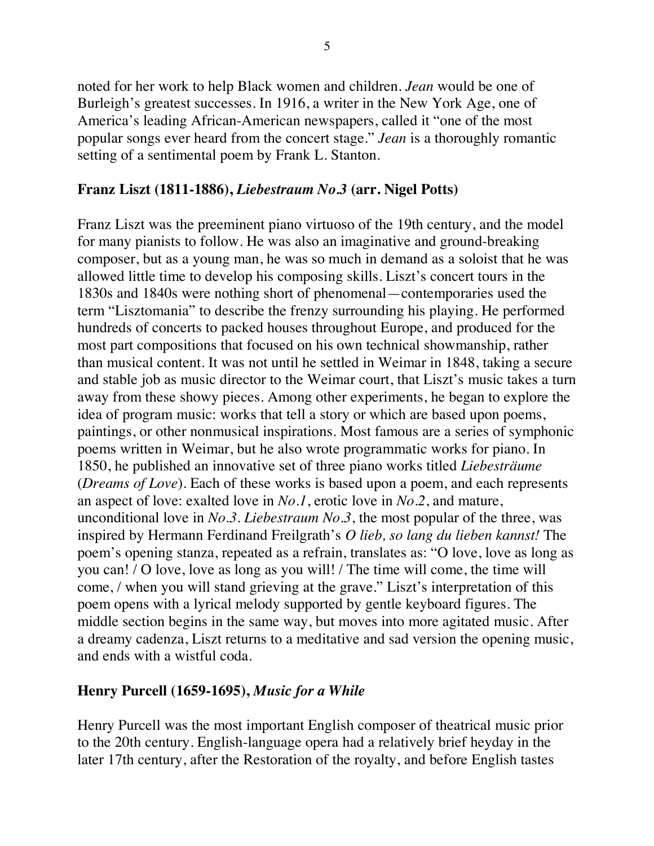noted for her work to help Black women and children. *Jean* would be one of Burleigh's greatest successes. In 1916, a writer in the New York Age, one of America's leading African-American newspapers, called it "one of the most popular songs ever heard from the concert stage." *Jean* is a thoroughly romantic setting of a sentimental poem by Frank L. Stanton.

#### **Franz Liszt (1811-1886),** *Liebestraum No.3* **(arr. Nigel Potts)**

Franz Liszt was the preeminent piano virtuoso of the 19th century, and the model for many pianists to follow. He was also an imaginative and ground-breaking composer, but as a young man, he was so much in demand as a soloist that he was allowed little time to develop his composing skills. Liszt's concert tours in the 1830s and 1840s were nothing short of phenomenal—contemporaries used the term "Lisztomania" to describe the frenzy surrounding his playing. He performed hundreds of concerts to packed houses throughout Europe, and produced for the most part compositions that focused on his own technical showmanship, rather than musical content. It was not until he settled in Weimar in 1848, taking a secure and stable job as music director to the Weimar court, that Liszt's music takes a turn away from these showy pieces. Among other experiments, he began to explore the idea of program music: works that tell a story or which are based upon poems, paintings, or other nonmusical inspirations. Most famous are a series of symphonic poems written in Weimar, but he also wrote programmatic works for piano. In 1850, he published an innovative set of three piano works titled *Liebesträume* (*Dreams of Love*). Each of these works is based upon a poem, and each represents an aspect of love: exalted love in *No.1*, erotic love in *No.2*, and mature, unconditional love in *No.3*. *Liebestraum No.3*, the most popular of the three, was inspired by Hermann Ferdinand Freilgrath's *O lieb, so lang du lieben kannst!* The poem's opening stanza, repeated as a refrain, translates as: "O love, love as long as you can! / O love, love as long as you will! / The time will come, the time will come, / when you will stand grieving at the grave." Liszt's interpretation of this poem opens with a lyrical melody supported by gentle keyboard figures. The middle section begins in the same way, but moves into more agitated music. After a dreamy cadenza, Liszt returns to a meditative and sad version the opening music, and ends with a wistful coda.

#### **Henry Purcell (1659-1695),** *Music for a While*

Henry Purcell was the most important English composer of theatrical music prior to the 20th century. English-language opera had a relatively brief heyday in the later 17th century, after the Restoration of the royalty, and before English tastes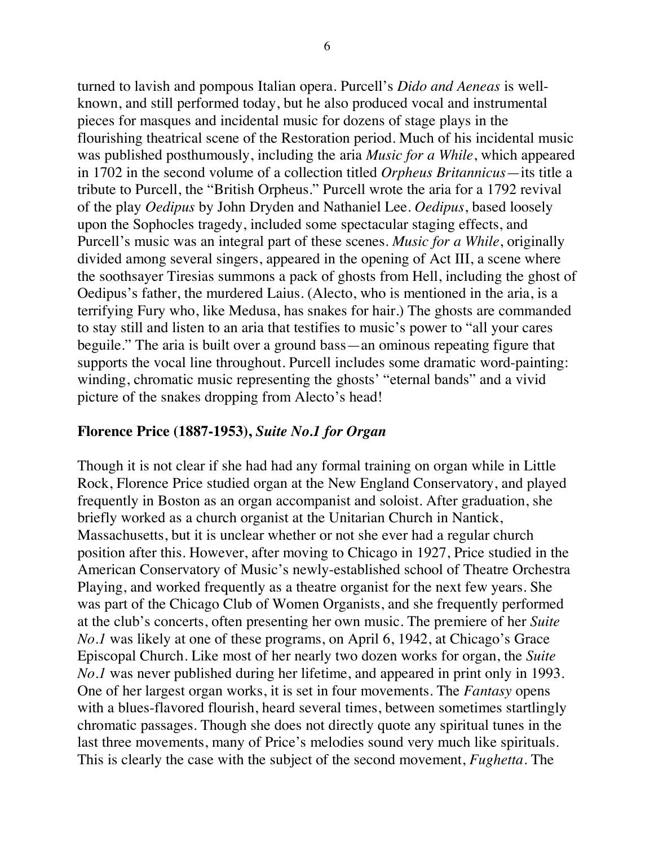turned to lavish and pompous Italian opera. Purcell's *Dido and Aeneas* is wellknown, and still performed today, but he also produced vocal and instrumental pieces for masques and incidental music for dozens of stage plays in the flourishing theatrical scene of the Restoration period. Much of his incidental music was published posthumously, including the aria *Music for a While*, which appeared in 1702 in the second volume of a collection titled *Orpheus Britannicus*—its title a tribute to Purcell, the "British Orpheus." Purcell wrote the aria for a 1792 revival of the play *Oedipus* by John Dryden and Nathaniel Lee. *Oedipus*, based loosely upon the Sophocles tragedy, included some spectacular staging effects, and Purcell's music was an integral part of these scenes. *Music for a While*, originally divided among several singers, appeared in the opening of Act III, a scene where the soothsayer Tiresias summons a pack of ghosts from Hell, including the ghost of Oedipus's father, the murdered Laius. (Alecto, who is mentioned in the aria, is a terrifying Fury who, like Medusa, has snakes for hair.) The ghosts are commanded to stay still and listen to an aria that testifies to music's power to "all your cares beguile." The aria is built over a ground bass—an ominous repeating figure that supports the vocal line throughout. Purcell includes some dramatic word-painting: winding, chromatic music representing the ghosts' "eternal bands" and a vivid picture of the snakes dropping from Alecto's head!

#### **Florence Price (1887-1953),** *Suite No.1 for Organ*

Though it is not clear if she had had any formal training on organ while in Little Rock, Florence Price studied organ at the New England Conservatory, and played frequently in Boston as an organ accompanist and soloist. After graduation, she briefly worked as a church organist at the Unitarian Church in Nantick, Massachusetts, but it is unclear whether or not she ever had a regular church position after this. However, after moving to Chicago in 1927, Price studied in the American Conservatory of Music's newly-established school of Theatre Orchestra Playing, and worked frequently as a theatre organist for the next few years. She was part of the Chicago Club of Women Organists, and she frequently performed at the club's concerts, often presenting her own music. The premiere of her *Suite No.1* was likely at one of these programs, on April 6, 1942, at Chicago's Grace Episcopal Church. Like most of her nearly two dozen works for organ, the *Suite No.1* was never published during her lifetime, and appeared in print only in 1993. One of her largest organ works, it is set in four movements. The *Fantasy* opens with a blues-flavored flourish, heard several times, between sometimes startlingly chromatic passages. Though she does not directly quote any spiritual tunes in the last three movements, many of Price's melodies sound very much like spirituals. This is clearly the case with the subject of the second movement, *Fughetta*. The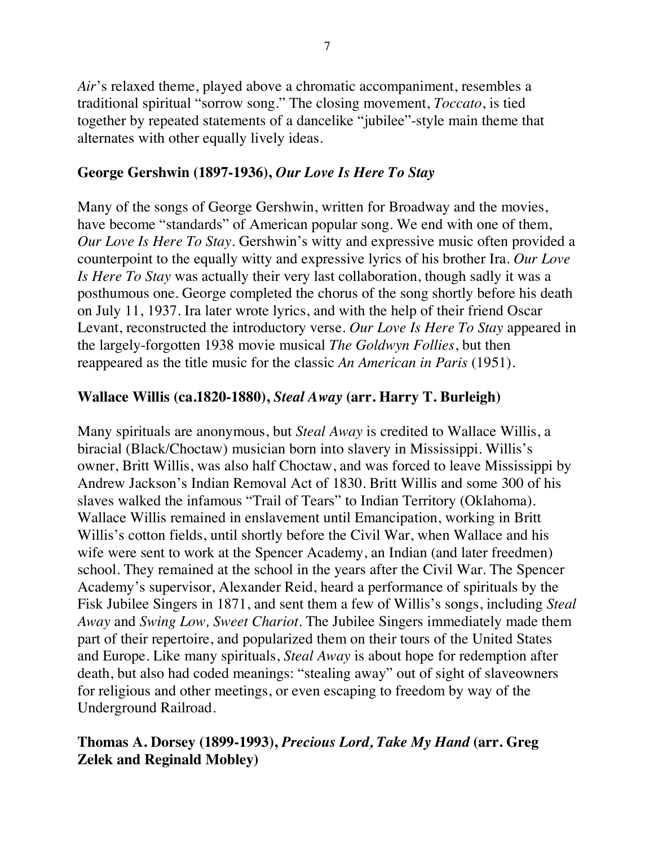*Air*'s relaxed theme, played above a chromatic accompaniment, resembles a traditional spiritual "sorrow song." The closing movement, *Toccato*, is tied together by repeated statements of a dancelike "jubilee"-style main theme that alternates with other equally lively ideas.

# **George Gershwin (1897-1936),** *Our Love Is Here To Stay*

Many of the songs of George Gershwin, written for Broadway and the movies, have become "standards" of American popular song. We end with one of them, *Our Love Is Here To Stay.* Gershwin's witty and expressive music often provided a counterpoint to the equally witty and expressive lyrics of his brother Ira. *Our Love Is Here To Stay* was actually their very last collaboration, though sadly it was a posthumous one. George completed the chorus of the song shortly before his death on July 11, 1937. Ira later wrote lyrics, and with the help of their friend Oscar Levant, reconstructed the introductory verse. *Our Love Is Here To Stay* appeared in the largely-forgotten 1938 movie musical *The Goldwyn Follies*, but then reappeared as the title music for the classic *An American in Paris* (1951).

### **Wallace Willis (ca.1820-1880),** *Steal Away* **(arr. Harry T. Burleigh)**

Many spirituals are anonymous, but *Steal Away* is credited to Wallace Willis, a biracial (Black/Choctaw) musician born into slavery in Mississippi. Willis's owner, Britt Willis, was also half Choctaw, and was forced to leave Mississippi by Andrew Jackson's Indian Removal Act of 1830. Britt Willis and some 300 of his slaves walked the infamous "Trail of Tears" to Indian Territory (Oklahoma). Wallace Willis remained in enslavement until Emancipation, working in Britt Willis's cotton fields, until shortly before the Civil War, when Wallace and his wife were sent to work at the Spencer Academy, an Indian (and later freedmen) school. They remained at the school in the years after the Civil War. The Spencer Academy's supervisor, Alexander Reid, heard a performance of spirituals by the Fisk Jubilee Singers in 1871, and sent them a few of Willis's songs, including *Steal Away* and *Swing Low, Sweet Chariot*. The Jubilee Singers immediately made them part of their repertoire, and popularized them on their tours of the United States and Europe. Like many spirituals, *Steal Away* is about hope for redemption after death, but also had coded meanings: "stealing away" out of sight of slaveowners for religious and other meetings, or even escaping to freedom by way of the Underground Railroad.

# **Thomas A. Dorsey (1899-1993),** *Precious Lord, Take My Hand* **(arr. Greg Zelek and Reginald Mobley)**